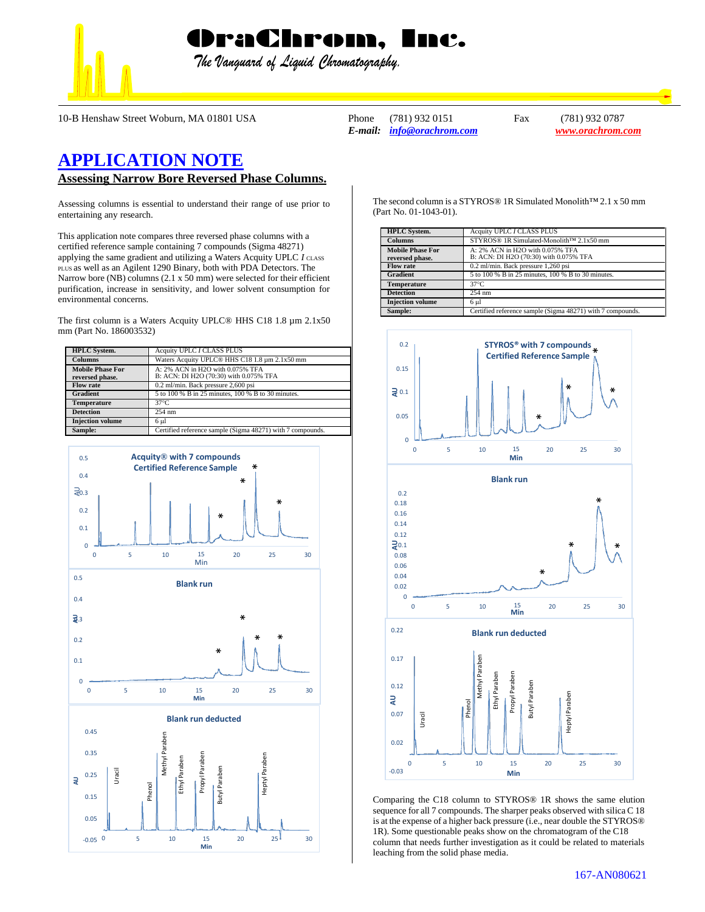## raChrom, Inc.

The Vanguard of Liquid Chromatography.

10-B Henshaw Street Woburn, MA 01801 USA Phone (781) 932 0151 Fax (781) 932 0787

*E-mail: [info@orachrom.com](mailto:info@orachrom.com) [www.orachrom.com](http://www.orachrom.com/)*

## **APPLICATION NOTE**

## **Assessing Narrow Bore Reversed Phase Columns.**

Assessing columns is essential to understand their range of use prior to entertaining any research.

This application note compares three reversed phase columns with a certified reference sample containing 7 compounds (Sigma 48271) applying the same gradient and utilizing a Waters Acquity UPLC *I* CLASS PLUS as well as an Agilent 1290 Binary, both with PDA Detectors. The Narrow bore (NB) columns (2.1 x 50 mm) were selected for their efficient purification, increase in sensitivity, and lower solvent consumption for environmental concerns.

The first column is a Waters Acquity UPLC® HHS C18 1.8 µm 2.1x50 mm (Part No. 186003532)

| <b>HPLC</b> System.                        | Acquity UPLC I CLASS PLUS                                                  |
|--------------------------------------------|----------------------------------------------------------------------------|
| <b>Columns</b>                             | Waters Acquity UPLC <sup>®</sup> HHS C18 1.8 µm 2.1x50 mm                  |
| <b>Mobile Phase For</b><br>reversed phase. | A: 2% ACN in H2O with 0.075% TFA<br>B: ACN: DI H2O (70:30) with 0.075% TFA |
| <b>Flow rate</b>                           | 0.2 ml/min. Back pressure 2,600 psi                                        |
| <b>Gradient</b>                            | 5 to 100 % B in 25 minutes, 100 % B to 30 minutes.                         |
| <b>Temperature</b>                         | $37^{\circ}$ C                                                             |
| <b>Detection</b>                           | $254 \text{ nm}$                                                           |
| <b>Injection volume</b>                    | 6 ul                                                                       |
| Sample:                                    | Certified reference sample (Sigma 48271) with 7 compounds.                 |



The second column is a STYROS® 1R Simulated Monolith™ 2.1 x 50 mm (Part No. 01-1043-01).

| <b>HPLC</b> System.     | Acquity UPLC I CLASS PLUS                                        |
|-------------------------|------------------------------------------------------------------|
| <b>Columns</b>          | STYROS <sup>®</sup> 1R Simulated-Monolith <sup>™</sup> 2.1x50 mm |
| <b>Mobile Phase For</b> | A: 2% ACN in H2O with 0.075% TFA                                 |
| reversed phase.         | B: ACN: DI H2O (70:30) with 0.075% TFA                           |
| <b>Flow rate</b>        | 0.2 ml/min. Back pressure 1,260 psi                              |
| <b>Gradient</b>         | 5 to 100 % B in 25 minutes, 100 % B to 30 minutes.               |
| <b>Temperature</b>      | $37^{\circ}$ C                                                   |
| <b>Detection</b>        | $254 \text{ nm}$                                                 |
| <b>Injection</b> volume | 6 ul                                                             |
| Sample:                 | Certified reference sample (Sigma 48271) with 7 compounds.       |



Comparing the C18 column to STYROS® 1R shows the same elution sequence for all 7 compounds. The sharper peaks observed with silica C 18 is at the expense of a higher back pressure (i.e., near double the STYROS® 1R). Some questionable peaks show on the chromatogram of the C18 column that needs further investigation as it could be related to materials leaching from the solid phase media.